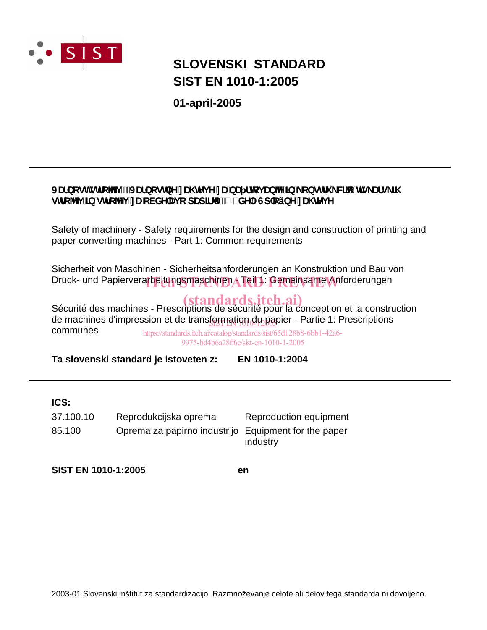

# **SIST EN 1010-1:2005 SLOVENSKI STANDARD**

**01-april-2005**

### JUfbcghglfc<sup>n</sup>j!JUfbcglbYnU hYj YnUbU flcj Ubn']b'\_cbglfi \_Wc'hg\_Ufg\_N glfc^i ]b`glfc^i `nU`cVXY`Uj c`dUd]f^U!`%"XY`.`Gd`cýbY`nU, hYj Y

Safety of machinery - Safety requirements for the design and construction of printing and paper converting machines - Part 1: Common requirements

Sicherheit von Maschinen - Sicherheitsanforderungen an Konstruktion und Bau von Druck- und Papierverarbeitungsmaschinen ATeil 1: Gemeinsame Anforderungen

Sécurité des machines - Prescriptions de sécurité pour la conception et la construction de machines d'impression et de trans<u>formation du pa</u>pier - Partie 1: Prescriptions communes

https://standards.iteh.ai/catalog/standards/sist/65d128b8-6bb1-42a6- 9975-bd4b6a28ff6e/sist-en-1010-1-2005

**Ta slovenski standard je istoveten z: EN 1010-1:2004**

### **ICS:**

85.100 Oprema za papirno industrijo Equipment for the paper industry 37.100.10 Reprodukcijska oprema Reproduction equipment

**SIST EN 1010-1:2005 en**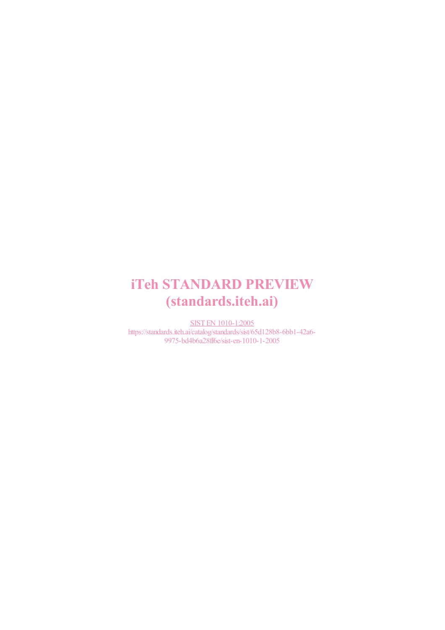# iTeh STANDARD PREVIEW (standards.iteh.ai)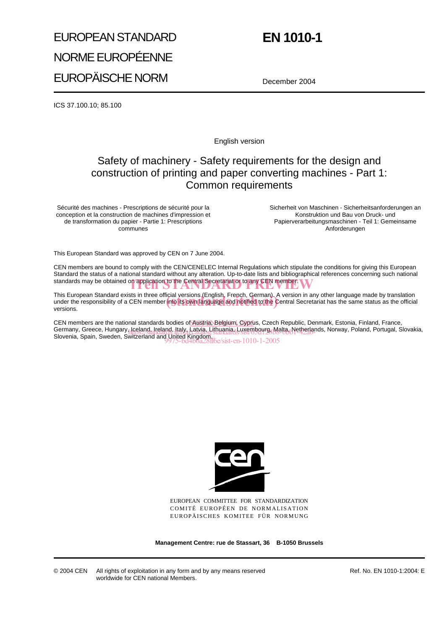# EUROPEAN STANDARD NORME EUROPÉENNE EUROPÄISCHE NORM

# **EN 1010-1**

December 2004

ICS 37.100.10; 85.100

English version

### Safety of machinery - Safety requirements for the design and construction of printing and paper converting machines - Part 1: Common requirements

Sécurité des machines - Prescriptions de sécurité pour la conception et la construction de machines d'impression et de transformation du papier - Partie 1: Prescriptions communes

Sicherheit von Maschinen - Sicherheitsanforderungen an Konstruktion und Bau von Druck- und Papierverarbeitungsmaschinen - Teil 1: Gemeinsame Anforderungen

This European Standard was approved by CEN on 7 June 2004.

CEN members are bound to comply with the CEN/CENELEC Internal Regulations which stipulate the conditions for giving this European Standard the status of a national standard without any alteration. Up-to-date lists and bibliographical references concerning such national standards may be obtained on application to the Central Secretariat or to any CEN member.

This European Standard exists in three official versions (English, French, German). A version in any other language made by translation This European Standard exists in three official versions (English, French, German). A version in any other language made by translation<br>under the responsibility of a CEN member into its own language and notified to the Cen versions.

CEN members are the national standards bodies of Austria, Belgium, Cyprus, Czech Republic, Denmark, Estonia, Finland, France, Germany, Greece, Hungary, Iceland, Ireland, Italy, Latvia, Lithuania, Luxembourg, Malta, Netherlands, Norway, Poland, Portugal, Slovakia, Germany, Greece, Hungary, Iceland, Ireland, Italy, Latyja, Lithuania, Luxembourg, Malta, Netherlan<br>Slovenia, Spain, Sweden, Switzerland and United Kingdom. 9975-bd4b6a28ff6e/sist-en-1010-1-2005



EUROPEAN COMMITTEE FOR STANDARDIZATION COMITÉ EUROPÉEN DE NORMALISATION EUROPÄISCHES KOMITEE FÜR NORMUNG

**Management Centre: rue de Stassart, 36 B-1050 Brussels**

Ref. No. EN 1010-1:2004: E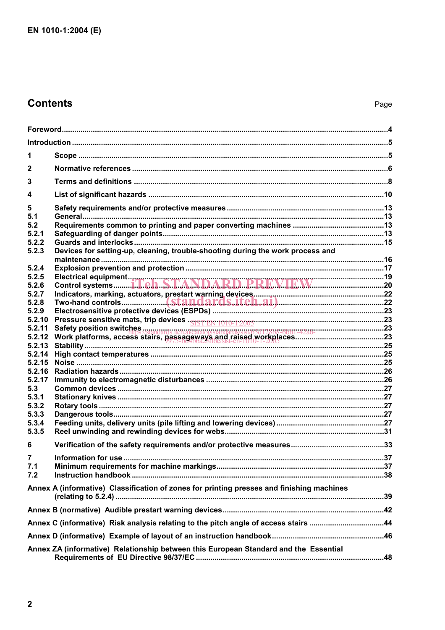### **Contents**

| 1                |                                                                                           |  |  |  |
|------------------|-------------------------------------------------------------------------------------------|--|--|--|
| $\mathbf{2}$     |                                                                                           |  |  |  |
| 3                |                                                                                           |  |  |  |
| 4                |                                                                                           |  |  |  |
| 5                |                                                                                           |  |  |  |
| 5.1<br>5.2       |                                                                                           |  |  |  |
| 5.2.1            |                                                                                           |  |  |  |
| 5.2.2            |                                                                                           |  |  |  |
| 5.2.3            | Devices for setting-up, cleaning, trouble-shooting during the work process and            |  |  |  |
| 5.2.4            |                                                                                           |  |  |  |
| 5.2.5            |                                                                                           |  |  |  |
| 5.2.6<br>5.2.7   |                                                                                           |  |  |  |
| 5.2.8            |                                                                                           |  |  |  |
| 5.2.9            |                                                                                           |  |  |  |
| 5.2.10           |                                                                                           |  |  |  |
| 5.2.11           |                                                                                           |  |  |  |
| 5.2.12<br>5.2.13 |                                                                                           |  |  |  |
| 5.2.14           |                                                                                           |  |  |  |
| 5.2.15           |                                                                                           |  |  |  |
| 5.2.16           |                                                                                           |  |  |  |
| 5.2.17           |                                                                                           |  |  |  |
| 5.3<br>5.3.1     |                                                                                           |  |  |  |
| 5.3.2            |                                                                                           |  |  |  |
| 5.3.3            |                                                                                           |  |  |  |
| 5.3.4            |                                                                                           |  |  |  |
| 5.3.5            |                                                                                           |  |  |  |
| 6                |                                                                                           |  |  |  |
|                  |                                                                                           |  |  |  |
| 7.1              |                                                                                           |  |  |  |
| 7.2              |                                                                                           |  |  |  |
|                  | Annex A (informative) Classification of zones for printing presses and finishing machines |  |  |  |
|                  |                                                                                           |  |  |  |
|                  | Annex C (informative) Risk analysis relating to the pitch angle of access stairs 44       |  |  |  |
|                  |                                                                                           |  |  |  |
|                  | Annex ZA (informative) Relationship between this European Standard and the Essential      |  |  |  |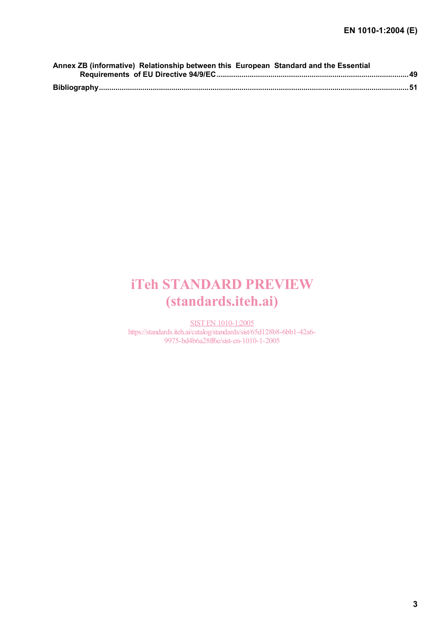| Annex ZB (informative) Relationship between this European Standard and the Essential |  |
|--------------------------------------------------------------------------------------|--|
|                                                                                      |  |
|                                                                                      |  |
|                                                                                      |  |

# iTeh STANDARD PREVIEW (standards.iteh.ai)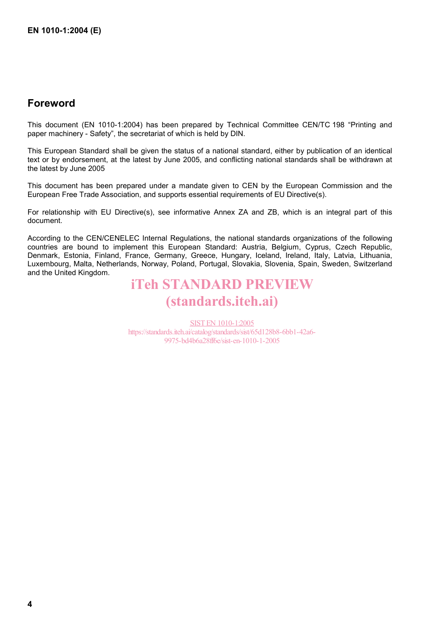### **Foreword**

This document (EN 1010-1:2004) has been prepared by Technical Committee CEN/TC 198 "Printing and paper machinery - Safety", the secretariat of which is held by DIN.

This European Standard shall be given the status of a national standard, either by publication of an identical text or by endorsement, at the latest by June 2005, and conflicting national standards shall be withdrawn at the latest by June 2005

This document has been prepared under a mandate given to CEN by the European Commission and the European Free Trade Association, and supports essential requirements of EU Directive(s).

For relationship with EU Directive(s), see informative Annex ZA and ZB, which is an integral part of this document.

According to the CEN/CENELEC Internal Regulations, the national standards organizations of the following countries are bound to implement this European Standard: Austria, Belgium, Cyprus, Czech Republic, Denmark, Estonia, Finland, France, Germany, Greece, Hungary, Iceland, Ireland, Italy, Latvia, Lithuania, Luxembourg, Malta, Netherlands, Norway, Poland, Portugal, Slovakia, Slovenia, Spain, Sweden, Switzerland and the United Kingdom.

# iTeh STANDARD PREVIEW (standards.iteh.ai)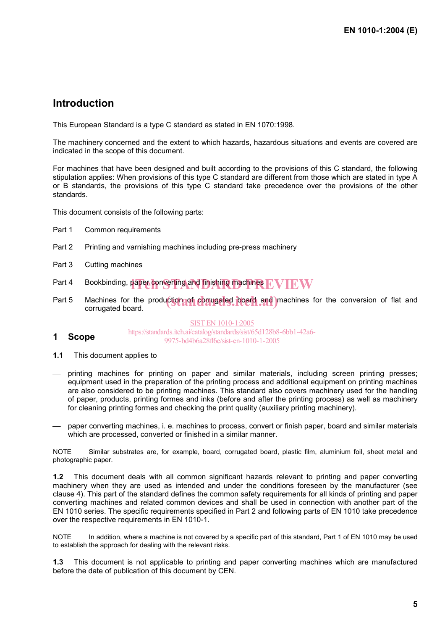### **Introduction**

This European Standard is a type C standard as stated in EN 1070:1998.

The machinery concerned and the extent to which hazards, hazardous situations and events are covered are indicated in the scope of this document.

For machines that have been designed and built according to the provisions of this C standard, the following stipulation applies: When provisions of this type C standard are different from those which are stated in type A or B standards, the provisions of this type C standard take precedence over the provisions of the other standards.

This document consists of the following parts:

- Part 1 Common requirements
- Part 2 Printing and varnishing machines including pre-press machinery
- Part 3 Cutting machines
- Part 4 Bookbinding, paper converting and finishing machines  $\mathrm{EVIEW}$
- Part 5 Machines for the production of corrugated board and machines for the conversion of flat and corrugated board corrugated board.

SIST EN 1010-1:2005

- **1 Scope**  https://standards.iteh.ai/catalog/standards/sist/65d128b8-6bb1-42a6- 9975-bd4b6a28ff6e/sist-en-1010-1-2005
- **1.1** This document applies to
- $-$  printing machines for printing on paper and similar materials, including screen printing presses; equipment used in the preparation of the printing process and additional equipment on printing machines are also considered to be printing machines. This standard also covers machinery used for the handling of paper, products, printing formes and inks (before and after the printing process) as well as machinery for cleaning printing formes and checking the print quality (auxiliary printing machinery).
- paper converting machines, i. e. machines to process, convert or finish paper, board and similar materials which are processed, converted or finished in a similar manner.

NOTE Similar substrates are, for example, board, corrugated board, plastic film, aluminium foil, sheet metal and photographic paper.

**1.2** This document deals with all common significant hazards relevant to printing and paper converting machinery when they are used as intended and under the conditions foreseen by the manufacturer (see clause 4). This part of the standard defines the common safety requirements for all kinds of printing and paper converting machines and related common devices and shall be used in connection with another part of the EN 1010 series. The specific requirements specified in Part 2 and following parts of EN 1010 take precedence over the respective requirements in EN 1010-1.

NOTE In addition, where a machine is not covered by a specific part of this standard, Part 1 of EN 1010 may be used to establish the approach for dealing with the relevant risks.

**1.3** This document is not applicable to printing and paper converting machines which are manufactured before the date of publication of this document by CEN.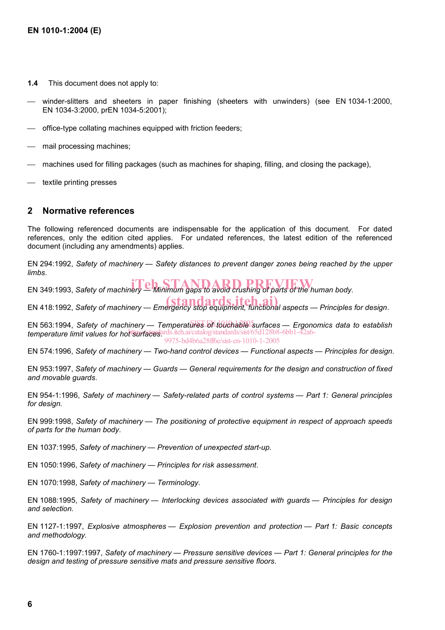- **1.4** This document does not apply to:
- winder-slitters and sheeters in paper finishing (sheeters with unwinders) (see EN 1034-1:2000, EN 1034-3:2000, prEN 1034-5:2001);
- office-type collating machines equipped with friction feeders;
- mail processing machines;
- machines used for filling packages (such as machines for shaping, filling, and closing the package),
- textile printing presses

#### **2 Normative references**

The following referenced documents are indispensable for the application of this document. For dated references, only the edition cited applies. For undated references, the latest edition of the referenced document (including any amendments) applies.

EN 294:1992, *Safety of machinery — Safety distances to prevent danger zones being reached by the upper limbs*.

EN 349:1993, *Safety of machinery* — Minimum gaps to avoid crushing of parts of the human body.

EN 418:1992, *Safety of machinery — Emergency stop equipment, functional aspects — Principles for design.* 

EN 563:1994, Safety of machinery — Temperatures of touchable surfaces — Ergonomics data to establish temperature limit values for hor surfaces and iteh.ai/catalog/standards/sist/65d128b8-6bb1-42a6-9975-bd4b6a28ff6e/sist-en-1010-1-2005

EN 574:1996, *Safety of machinery — Two-hand control devices — Functional aspects — Principles for design*.

EN 953:1997, *Safety of machinery — Guards — General requirements for the design and construction of fixed and movable guards*.

EN 954-1:1996, *Safety of machinery — Safety-related parts of control systems — Part 1: General principles for design.* 

EN 999:1998, *Safety of machinery — The positioning of protective equipment in respect of approach speeds of parts for the human body*.

EN 1037:1995, *Safety of machinery — Prevention of unexpected start-up*.

EN 1050:1996, *Safety of machinery — Principles for risk assessment*.

EN 1070:1998, *Safety of machinery — Terminology*.

EN 1088:1995, *Safety of machinery — Interlocking devices associated with guards — Principles for design and selection.* 

EN 1127-1:1997, *Explosive atmospheres — Explosion prevention and protection — Part 1: Basic concepts and methodology.* 

EN 1760-1:1997:1997, *Safety of machinery — Pressure sensitive devices — Part 1: General principles for the design and testing of pressure sensitive mats and pressure sensitive floors*.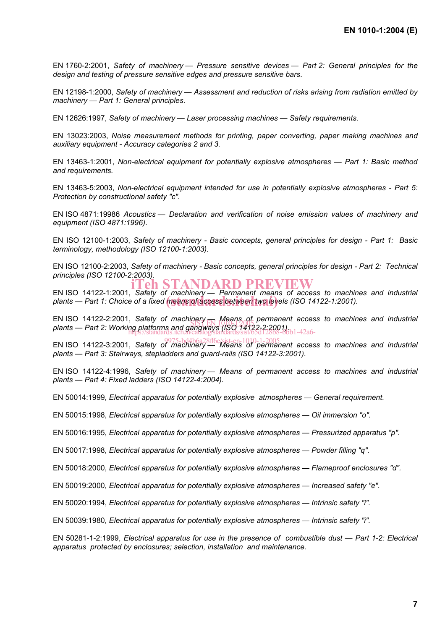EN 1760-2:2001, *Safety of machinery — Pressure sensitive devices — Part 2: General principles for the design and testing of pressure sensitive edges and pressure sensitive bars*.

EN 12198-1:2000, *Safety of machinery — Assessment and reduction of risks arising from radiation emitted by machinery — Part 1: General principles*.

EN 12626:1997, *Safety of machinery — Laser processing machines — Safety requirements.* 

EN 13023:2003, *Noise measurement methods for printing, paper converting, paper making machines and auxiliary equipment - Accuracy categories 2 and 3.* 

EN 13463-1:2001, *Non-electrical equipment for potentially explosive atmospheres — Part 1: Basic method and requirements.* 

EN 13463-5:2003, *Non-electrical equipment intended for use in potentially explosive atmospheres - Part 5: Protection by constructional safety "c".* 

EN ISO 4871:19986 *Acoustics — Declaration and verification of noise emission values of machinery and equipment (ISO 4871:1996)*.

EN ISO 12100-1:2003, *Safety of machinery - Basic concepts, general principles for design - Part 1: Basic terminology, methodology (ISO 12100-1:2003).* 

EN ISO 12100-2:2003, *Safety of machinery - Basic concepts, general principles for design - Part 2: Technical principles (ISO 12100-2:2003).*  'eh STANDARD PREVIEW

EN ISO 14122-1:2001, *Safety of machinery — Permanent means of access to machines and industrial*  plants — Part 1: Choice of a fixed **means of access between two lev**els (ISO 14122-1:2001).

EN ISO 14122-2:2001, Safety of machinery **Means** of permanent access to machines and industrial *plants — Part 2: Loo I, Salety of Machinery Means of permanem*<br>plants — Part 2: Working platforms and gangways (ISO 14122-2:2001). https://standards.iteh.ai/catalog/standards/sist/65d128b8-6bb1-42a6-

EN ISO 14122-3:2001, *Safety of machinery — Means of permanent access to machines and industrial*  9975-bd4b6a28ff6e/sist-en-1010-1-2005*plants — Part 3: Stairways, stepladders and guard-rails (ISO 14122-3:2001).*

EN ISO 14122-4:1996, *Safety of machinery — Means of permanent access to machines and industrial plants — Part 4: Fixed ladders (ISO 14122-4:2004).*

EN 50014:1999, *Electrical apparatus for potentially explosive atmospheres — General requirement.*

EN 50015:1998, *Electrical apparatus for potentially explosive atmospheres — Oil immersion "o".* 

EN 50016:1995, *Electrical apparatus for potentially explosive atmospheres — Pressurized apparatus "p".*

EN 50017:1998, *Electrical apparatus for potentially explosive atmospheres — Powder filling "q".*

EN 50018:2000, *Electrical apparatus for potentially explosive atmospheres — Flameproof enclosures "d".* 

EN 50019:2000, *Electrical apparatus for potentially explosive atmospheres — Increased safety "e".* 

EN 50020:1994, *Electrical apparatus for potentially explosive atmospheres — Intrinsic safety "i".* 

EN 50039:1980, *Electrical apparatus for potentially explosive atmospheres — Intrinsic safety "i".* 

EN 50281-1-2:1999, *Electrical apparatus for use in the presence of combustible dust — Part 1-2: Electrical apparatus protected by enclosures; selection, installation and maintenance.*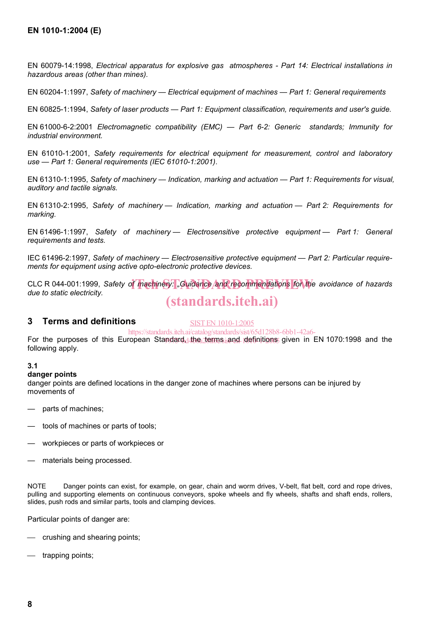EN 60079-14:1998, *Electrical apparatus for explosive gas atmospheres - Part 14: Electrical installations in hazardous areas (other than mines).*

EN 60204-1:1997, *Safety of machinery — Electrical equipment of machines — Part 1: General requirements* 

EN 60825-1:1994, *Safety of laser products — Part 1: Equipment classification, requirements and user's guide.*

EN 61000-6-2:2001 *Electromagnetic compatibility (EMC) — Part 6-2: Generic standards; Immunity for industrial environment.* 

EN 61010-1:2001, *Safety requirements for electrical equipment for measurement, control and laboratory use — Part 1: General requirements (IEC 61010-1:2001)*.

EN 61310-1:1995, *Safety of machinery — Indication, marking and actuation — Part 1: Requirements for visual, auditory and tactile signals.*

EN 61310-2:1995, *Safety of machinery — Indication, marking and actuation — Part 2: Requirements for marking.* 

EN 61496-1:1997, *Safety of machinery — Electrosensitive protective equipment — Part 1: General requirements and tests.*

IEC 61496-2:1997, *Safety of machinery — Electrosensitive protective equipment — Part 2: Particular requirements for equipment using active opto-electronic protective devices.* 

CLC R 044-001:1999, Safety of machinery: "Guidance and recommendations for the avoidance of hazards<br>due to static electricity *due to static electricity.*  (standards.iteh.ai)

#### **3 Terms and definitions**

SIST EN 1010-1:2005

For the purposes of this European Standard<sub>d</sub> the terms and definitions given in EN 1070:1998 and the following apply. https://standards.iteh.ai/catalog/standards/sist/65d128b8-6bb1-42a6-

#### **3.1**

#### **danger points**

danger points are defined locations in the danger zone of machines where persons can be injured by movements of

- parts of machines;
- tools of machines or parts of tools;
- workpieces or parts of workpieces or
- materials being processed.

NOTE Danger points can exist, for example, on gear, chain and worm drives, V-belt, flat belt, cord and rope drives, pulling and supporting elements on continuous conveyors, spoke wheels and fly wheels, shafts and shaft ends, rollers, slides, push rods and similar parts, tools and clamping devices.

Particular points of danger are:

- crushing and shearing points;
- trapping points;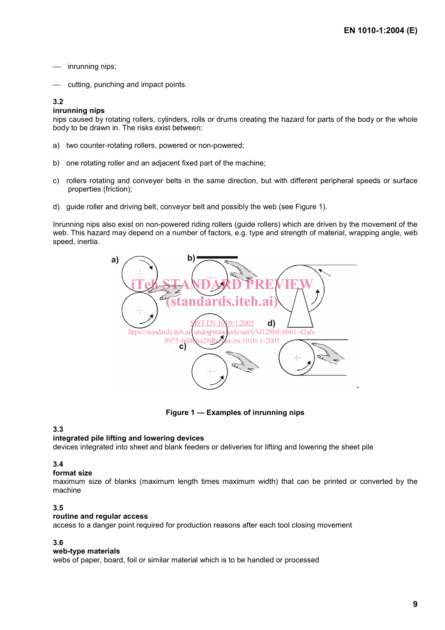- inrunning nips;
- cutting, punching and impact points.

#### **3.2**

#### **inrunning nips**

nips caused by rotating rollers, cylinders, rolls or drums creating the hazard for parts of the body or the whole body to be drawn in. The risks exist between:

- a) two counter-rotating rollers, powered or non-powered;
- b) one rotating roller and an adjacent fixed part of the machine;
- c) rollers rotating and conveyer belts in the same direction, but with different peripheral speeds or surface properties (friction);
- d) guide roller and driving belt, conveyor belt and possibly the web (see Figure 1).

Inrunning nips also exist on non-powered riding rollers (guide rollers) which are driven by the movement of the web. This hazard may depend on a number of factors, e.g. type and strength of material, wrapping angle, web speed, inertia.



**Figure 1 — Examples of inrunning nips** 

#### **3.3**

#### **integrated pile lifting and lowering devices**

devices integrated into sheet and blank feeders or deliveries for lifting and lowering the sheet pile

#### **3.4**

#### **format size**

maximum size of blanks (maximum length times maximum width) that can be printed or converted by the machine

#### **3.5**

#### **routine and regular access**

access to a danger point required for production reasons after each tool closing movement

#### **3.6**

#### **web-type materials**

webs of paper, board, foil or similar material which is to be handled or processed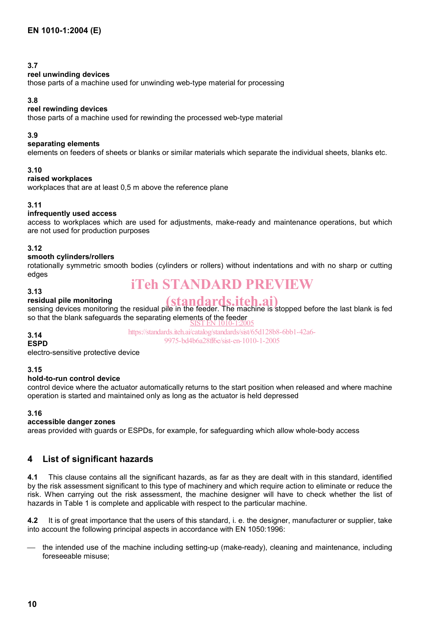#### **3.7**

#### **reel unwinding devices**

those parts of a machine used for unwinding web-type material for processing

#### **3.8**

#### **reel rewinding devices**

those parts of a machine used for rewinding the processed web-type material

#### **3.9**

#### **separating elements**

elements on feeders of sheets or blanks or similar materials which separate the individual sheets, blanks etc.

#### **3.10**

#### **raised workplaces**

workplaces that are at least 0,5 m above the reference plane

#### **3.11**

#### **infrequently used access**

access to workplaces which are used for adjustments, make-ready and maintenance operations, but which are not used for production purposes

#### **3.12**

#### **smooth cylinders/rollers**

rotationally symmetric smooth bodies (cylinders or rollers) without indentations and with no sharp or cutting edges

## iTeh STANDARD PREVIEW

#### **3.13 residual pile monitoring**

**exidual pile monitoring**<br>sensing devices monitoring the residual pile in the feeder. The machine is stopped before the last blank is fed so that the blank safeguards the separating elements of the feeder<br>SIST EN 1010-1:2005

#### **3.14**

https://standards.iteh.ai/catalog/standards/sist/65d128b8-6bb1-42a6- 9975-bd4b6a28ff6e/sist-en-1010-1-2005

**ESPD**  electro-sensitive protective device

#### **3.15**

#### **hold-to-run control device**

control device where the actuator automatically returns to the start position when released and where machine operation is started and maintained only as long as the actuator is held depressed

#### **3.16**

#### **accessible danger zones**

areas provided with guards or ESPDs, for example, for safeguarding which allow whole-body access

#### **4 List of significant hazards**

**4.1** This clause contains all the significant hazards, as far as they are dealt with in this standard, identified by the risk assessment significant to this type of machinery and which require action to eliminate or reduce the risk. When carrying out the risk assessment, the machine designer will have to check whether the list of hazards in Table 1 is complete and applicable with respect to the particular machine.

**4.2** It is of great importance that the users of this standard, i. e. the designer, manufacturer or supplier, take into account the following principal aspects in accordance with EN 1050:1996:

 the intended use of the machine including setting-up (make-ready), cleaning and maintenance, including foreseeable misuse;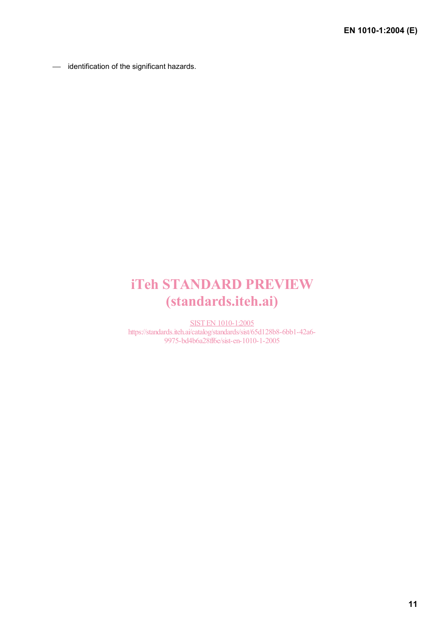- identification of the significant hazards.

# iTeh STANDARD PREVIEW (standards.iteh.ai)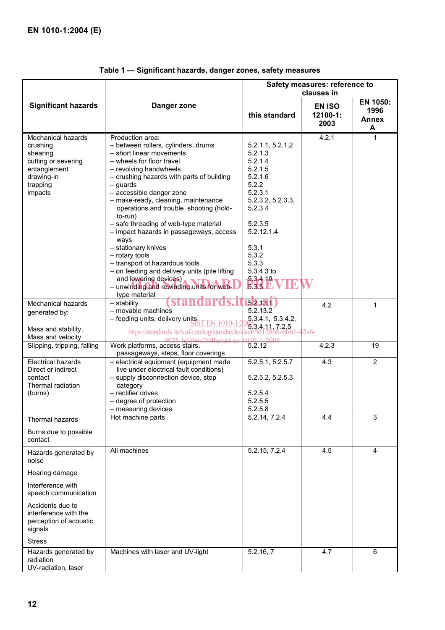|                                                                                                                                                                                |                                                                                                                                                                                                                                                                                                                                                                                                                                                                                                                                                                                                                                             | Safety measures: reference to                                                                                                                                                                           |                                   |                                       |  |
|--------------------------------------------------------------------------------------------------------------------------------------------------------------------------------|---------------------------------------------------------------------------------------------------------------------------------------------------------------------------------------------------------------------------------------------------------------------------------------------------------------------------------------------------------------------------------------------------------------------------------------------------------------------------------------------------------------------------------------------------------------------------------------------------------------------------------------------|---------------------------------------------------------------------------------------------------------------------------------------------------------------------------------------------------------|-----------------------------------|---------------------------------------|--|
|                                                                                                                                                                                |                                                                                                                                                                                                                                                                                                                                                                                                                                                                                                                                                                                                                                             |                                                                                                                                                                                                         | clauses in                        |                                       |  |
| <b>Significant hazards</b>                                                                                                                                                     | Danger zone                                                                                                                                                                                                                                                                                                                                                                                                                                                                                                                                                                                                                                 | this standard                                                                                                                                                                                           | <b>EN ISO</b><br>12100-1:<br>2003 | EN 1050:<br>1996<br><b>Annex</b><br>A |  |
| Mechanical hazards<br>crushing<br>shearing<br>cutting or severing<br>entanglement<br>drawing-in<br>trapping<br>impacts                                                         | Production area:<br>- between rollers, cylinders, drums<br>- short linear movements<br>- wheels for floor travel<br>- revolving handwheels<br>- crushing hazards with parts of building<br>$-$ quards<br>- accessible danger zone<br>- make-ready, cleaning, maintenance<br>operations and trouble shooting (hold-<br>to-run)<br>- safe threading of web-type material<br>- impact hazards in passageways, access<br>ways<br>- stationary knives<br>- rotary tools<br>- transport of hazardous tools<br>- on feeding and delivery units (pile lifting<br>and lowering devices)<br>- unwinding and rewinding units for web-<br>type material | 5.2.1.1, 5.2.1.2<br>5.2.1.3<br>5.2.1.4<br>5.2.1.5<br>5.2.1.6<br>5.2.2<br>5.2.3.1<br>5.2.3.2, 5.2.3.3,<br>5.2.3.4<br>5.2.3.5<br>5.2.12.1.4<br>5.3.1<br>5.3.2<br>5.3.3<br>5.3.4.3 to<br>5.3.4.10<br>5.35L | 4.2.1                             | 1                                     |  |
| Mechanical hazards<br>generated by:<br>Mass and stability,<br>Mass and velocity                                                                                                | - stability<br>- movable machines<br>- feeding units, delivery units,<br>EN 1010-1<br>https://standards.iteh.ai/catalog/standards/s                                                                                                                                                                                                                                                                                                                                                                                                                                                                                                         | 32.13.1<br>5.2.13.2<br>5.3.4.1, 5.3.4.2,<br>5.3.4.11, 7.2.5<br>ist/65d128b8-6bb1-42a6-                                                                                                                  | 4.2                               | 1                                     |  |
| Slipping, tripping, falling                                                                                                                                                    | Work platforms, access stairs,<br>passageways, steps, floor coverings                                                                                                                                                                                                                                                                                                                                                                                                                                                                                                                                                                       | 3.2.12                                                                                                                                                                                                  | 4.2.3                             | 19                                    |  |
| <b>Electrical hazards</b><br>Direct or indirect<br>contact<br>Thermal radiation<br>(burns)                                                                                     | - electrical equipment (equipment made<br>live under electrical fault conditions)<br>- supply disconnection device, stop<br>category<br>- rectifier drives<br>- degree of protection<br>- measuring devices                                                                                                                                                                                                                                                                                                                                                                                                                                 | 5.2.5.1, 5.2.5.7<br>5.2.5.2, 5.2.5.3<br>5.2.5.4<br>5.2.5.5<br>5.2.5.8                                                                                                                                   | 4.3                               | $\overline{2}$                        |  |
| Thermal hazards<br>Burns due to possible<br>contact                                                                                                                            | Hot machine parts                                                                                                                                                                                                                                                                                                                                                                                                                                                                                                                                                                                                                           | 5.2.14, 7.2.4                                                                                                                                                                                           | 4.4                               | 3                                     |  |
| Hazards generated by<br>noise<br>Hearing damage<br>Interference with<br>speech communication<br>Accidents due to<br>interference with the<br>perception of acoustic<br>signals | All machines                                                                                                                                                                                                                                                                                                                                                                                                                                                                                                                                                                                                                                | 5.2.15, 7.2.4                                                                                                                                                                                           | 4.5                               | 4                                     |  |
| <b>Stress</b>                                                                                                                                                                  |                                                                                                                                                                                                                                                                                                                                                                                                                                                                                                                                                                                                                                             | 5.2.16, 7                                                                                                                                                                                               |                                   |                                       |  |
| Hazards generated by<br>radiation<br>UV-radiation, laser                                                                                                                       | Machines with laser and UV-light                                                                                                                                                                                                                                                                                                                                                                                                                                                                                                                                                                                                            |                                                                                                                                                                                                         | 4.7                               | 6                                     |  |

### **Table 1 — Significant hazards, danger zones, safety measures**